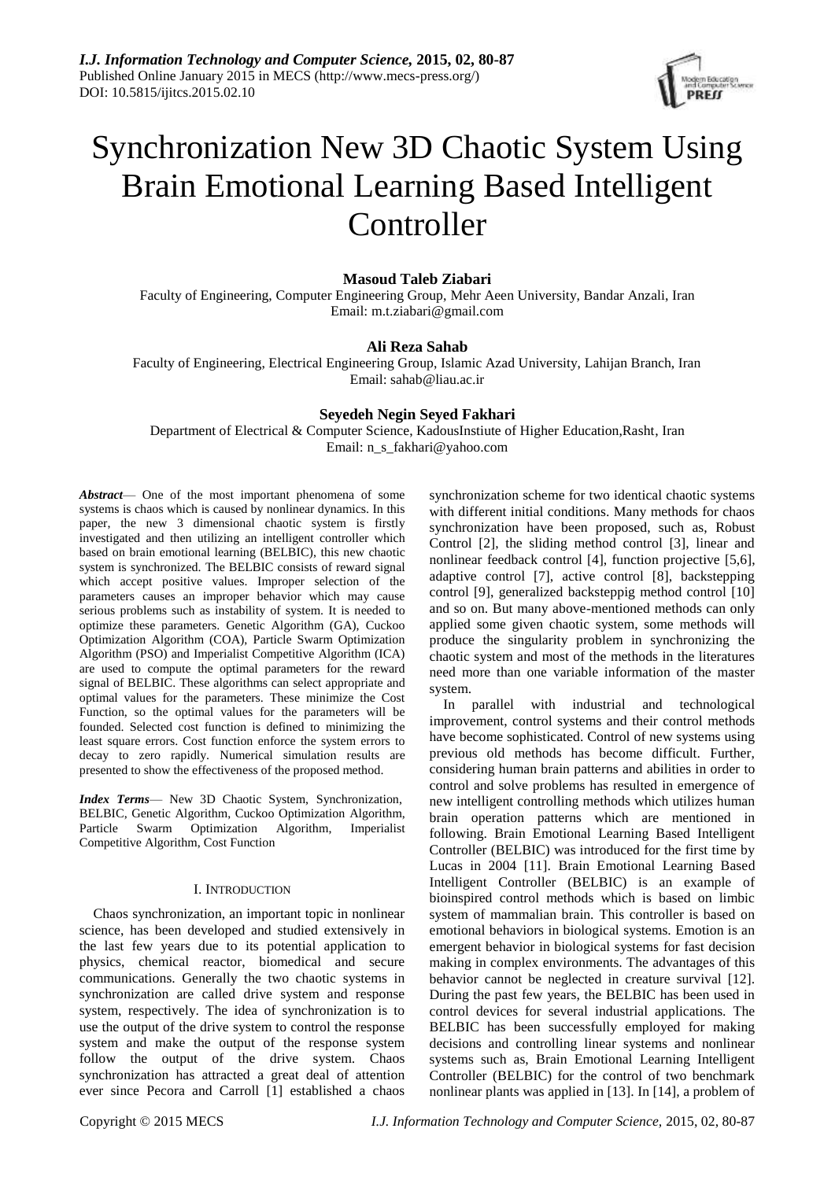

# Synchronization New 3D Chaotic System Using Brain Emotional Learning Based Intelligent Controller

# **Masoud Taleb Ziabari**

Faculty of Engineering, Computer Engineering Group, Mehr Aeen University, Bandar Anzali, Iran Email: m.t.ziabari@gmail.com

## **Ali Reza Sahab**

Faculty of Engineering, Electrical Engineering Group, Islamic Azad University, Lahijan Branch, Iran Email: sahab@liau.ac.ir

# **Seyedeh Negin Seyed Fakhari**

Department of Electrical & Computer Science, KadousInstiute of Higher Education,Rasht, Iran Email: n\_s\_fakhari@yahoo.com

*Abstract*— One of the most important phenomena of some systems is chaos which is caused by nonlinear dynamics. In this paper, the new 3 dimensional chaotic system is firstly investigated and then utilizing an intelligent controller which based on brain emotional learning (BELBIC), this new chaotic system is synchronized. The BELBIC consists of reward signal which accept positive values. Improper selection of the parameters causes an improper behavior which may cause serious problems such as instability of system. It is needed to optimize these parameters. Genetic Algorithm (GA), Cuckoo Optimization Algorithm (COA), Particle Swarm Optimization Algorithm (PSO) and Imperialist Competitive Algorithm (ICA) are used to compute the optimal parameters for the reward signal of BELBIC. These algorithms can select appropriate and optimal values for the parameters. These minimize the Cost Function, so the optimal values for the parameters will be founded. Selected cost function is defined to minimizing the least square errors. Cost function enforce the system errors to decay to zero rapidly. Numerical simulation results are presented to show the effectiveness of the proposed method.

*Index Terms*— New 3D Chaotic System, Synchronization, BELBIC, Genetic Algorithm, Cuckoo Optimization Algorithm, Particle Swarm Optimization Algorithm, Imperialist Competitive Algorithm, Cost Function

#### I. INTRODUCTION

Chaos synchronization, an important topic in nonlinear science, has been developed and studied extensively in the last few years due to its potential application to physics, chemical reactor, biomedical and secure communications. Generally the two chaotic systems in synchronization are called drive system and response system, respectively. The idea of synchronization is to use the output of the drive system to control the response system and make the output of the response system follow the output of the drive system. Chaos synchronization has attracted a great deal of attention ever since Pecora and Carroll [1] established a chaos

synchronization scheme for two identical chaotic systems with different initial conditions. Many methods for chaos synchronization have been proposed, such as, Robust Control [2], the sliding method control [3], linear and nonlinear feedback control [4], function projective [5,6], adaptive control [7], active control [8], backstepping control [9], generalized backsteppig method control [10] and so on. But many above-mentioned methods can only applied some given chaotic system, some methods will produce the singularity problem in synchronizing the chaotic system and most of the methods in the literatures need more than one variable information of the master system.

In parallel with industrial and technological improvement, control systems and their control methods have become sophisticated. Control of new systems using previous old methods has become difficult. Further, considering human brain patterns and abilities in order to control and solve problems has resulted in emergence of new intelligent controlling methods which utilizes human brain operation patterns which are mentioned in following. Brain Emotional Learning Based Intelligent Controller (BELBIC) was introduced for the first time by Lucas in 2004 [11]. Brain Emotional Learning Based Intelligent Controller (BELBIC) is an example of bioinspired control methods which is based on limbic system of mammalian brain. This controller is based on emotional behaviors in biological systems. Emotion is an emergent behavior in biological systems for fast decision making in complex environments. The advantages of this behavior cannot be neglected in creature survival [12]. During the past few years, the BELBIC has been used in control devices for several industrial applications. The BELBIC has been successfully employed for making decisions and controlling linear systems and nonlinear systems such as, Brain Emotional Learning Intelligent Controller (BELBIC) for the control of two benchmark nonlinear plants was applied in [13]. In [14], a problem of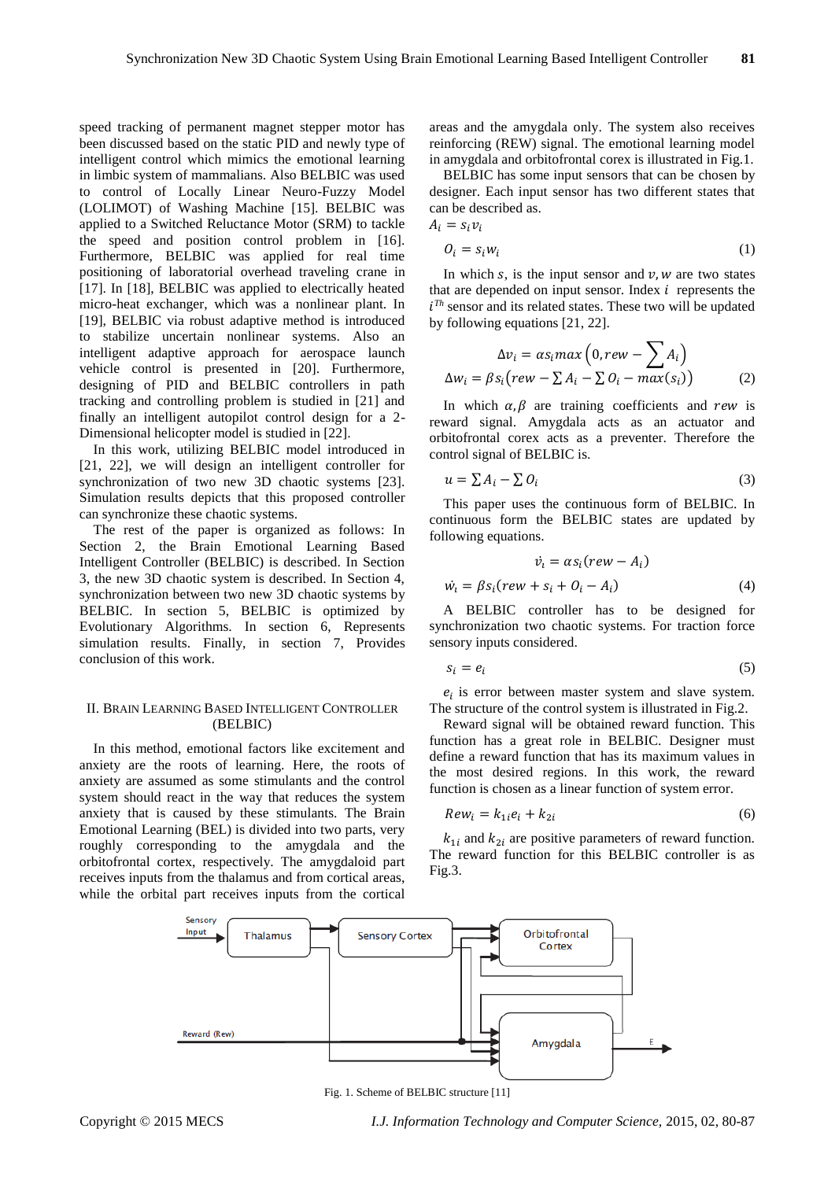speed tracking of permanent magnet stepper motor has been discussed based on the static PID and newly type of intelligent control which mimics the emotional learning in limbic system of mammalians. Also BELBIC was used to control of Locally Linear Neuro-Fuzzy Model (LOLIMOT) of Washing Machine [15]. BELBIC was applied to a Switched Reluctance Motor (SRM) to tackle the speed and position control problem in [16]. Furthermore, BELBIC was applied for real time positioning of laboratorial overhead traveling crane in [17]. In [18], BELBIC was applied to electrically heated micro-heat exchanger, which was a nonlinear plant. In [19], BELBIC via robust adaptive method is introduced to stabilize uncertain nonlinear systems. Also an intelligent adaptive approach for aerospace launch vehicle control is presented in [20]. Furthermore, designing of PID and BELBIC controllers in path tracking and controlling problem is studied in [21] and finally an intelligent autopilot control design for a 2- Dimensional helicopter model is studied in [22].

In this work, utilizing BELBIC model introduced in [21, 22], we will design an intelligent controller for synchronization of two new 3D chaotic systems [23]. Simulation results depicts that this proposed controller can synchronize these chaotic systems.

The rest of the paper is organized as follows: In Section 2, the Brain Emotional Learning Based Intelligent Controller (BELBIC) is described. In Section 3, the new 3D chaotic system is described. In Section 4, synchronization between two new 3D chaotic systems by BELBIC. In section 5, BELBIC is optimized by Evolutionary Algorithms. In section 6, Represents simulation results. Finally, in section 7, Provides conclusion of this work.

## II. BRAIN LEARNING BASED INTELLIGENT CONTROLLER (BELBIC)

In this method, emotional factors like excitement and anxiety are the roots of learning. Here, the roots of anxiety are assumed as some stimulants and the control system should react in the way that reduces the system anxiety that is caused by these stimulants. The Brain Emotional Learning (BEL) is divided into two parts, very roughly corresponding to the amygdala and the orbitofrontal cortex, respectively. The amygdaloid part receives inputs from the thalamus and from cortical areas, while the orbital part receives inputs from the cortical areas and the amygdala only. The system also receives reinforcing (REW) signal. The emotional learning model in amygdala and orbitofrontal corex is illustrated in Fig.1.

BELBIC has some input sensors that can be chosen by designer. Each input sensor has two different states that can be described as.

$$
A_i = s_i v_i
$$
  
\n
$$
O_i = s_i w_i
$$
\n(1)

In which  $s$ , is the input sensor and  $v$ ,  $w$  are two states that are depended on input sensor. Index  $i$  represents the  $i<sup>Th</sup>$  sensor and its related states. These two will be updated by following equations [21, 22].

$$
\Delta v_i = \alpha s_i max \left( 0, rew - \sum A_i \right)
$$
  

$$
\Delta w_i = \beta s_i (rew - \sum A_i - \sum O_i - max(s_i))
$$
 (2)

In which  $\alpha$ ,  $\beta$  are training coefficients and rew is reward signal. Amygdala acts as an actuator and orbitofrontal corex acts as a preventer. Therefore the control signal of BELBIC is.

$$
u = \sum A_i - \sum O_i \tag{3}
$$

This paper uses the continuous form of BELBIC. In continuous form the BELBIC states are updated by following equations.

$$
\dot{v}_i = \alpha s_i (rew - A_i)
$$
  

$$
\dot{w}_i = \beta s_i (rew + s_i + O_i - A_i)
$$
 (4)

A BELBIC controller has to be designed for synchronization two chaotic systems. For traction force sensory inputs considered.

$$
s_i = e_i \tag{5}
$$

 $e_i$  is error between master system and slave system. The structure of the control system is illustrated in Fig.2.

Reward signal will be obtained reward function. This function has a great role in BELBIC. Designer must define a reward function that has its maximum values in the most desired regions. In this work, the reward function is chosen as a linear function of system error.

$$
Rew_i = k_{1i}e_i + k_{2i}
$$
 (6)

 $k_{1i}$  and  $k_{2i}$  are positive parameters of reward function. The reward function for this BELBIC controller is as Fig.3.



Fig. 1. Scheme of BELBIC structure [11]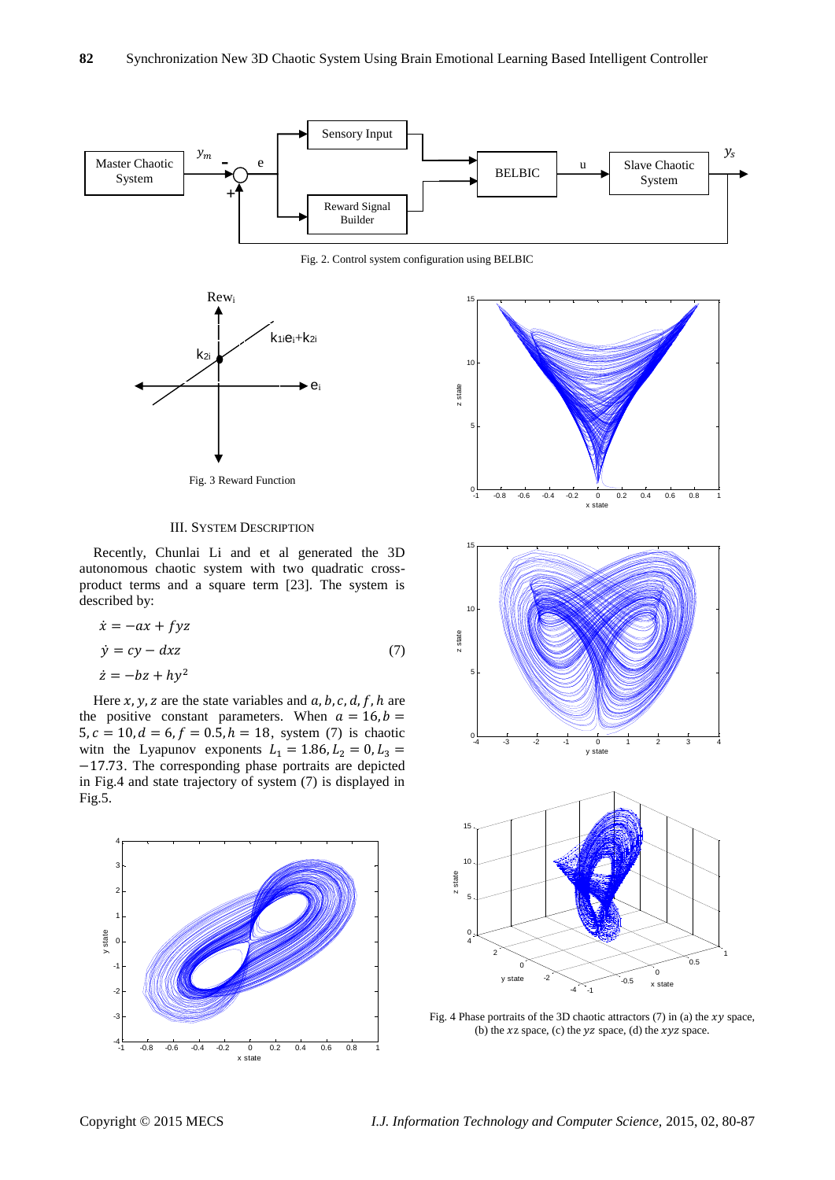

Fig. 2. Control system configuration using BELBIC



Fig. 3 Reward Function

### III. SYSTEM DESCRIPTION

Recently, Chunlai Li and et al generated the 3D autonomous chaotic system with two quadratic crossproduct terms and a square term [23]. The system is described by:

$$
\begin{aligned}\n\dot{x} &= -ax + fyz \\
\dot{y} &= cy - dxz \\
\dot{z} &= -bz + hy^2\n\end{aligned} \tag{7}
$$

Here  $x, y, z$  are the state variables and  $a, b, c, d, f, h$  are the positive constant parameters. When  $a = 16$ ,  $b =$  $5, c = 10, d = 6, f = 0.5, h = 18$ , system (7) is chaotic witn the Lyapunov exponents  $L_1 = 1.86, L_2 = 0, L_3 =$ −17.73. The corresponding phase portraits are depicted in Fig.4 and state trajectory of system (7) is displayed in Fig.5.









Fig. 4 Phase portraits of the 3D chaotic attractors  $(7)$  in (a) the  $xy$  space, (b) the  $xz$  space, (c) the  $yz$  space, (d) the  $xyz$  space.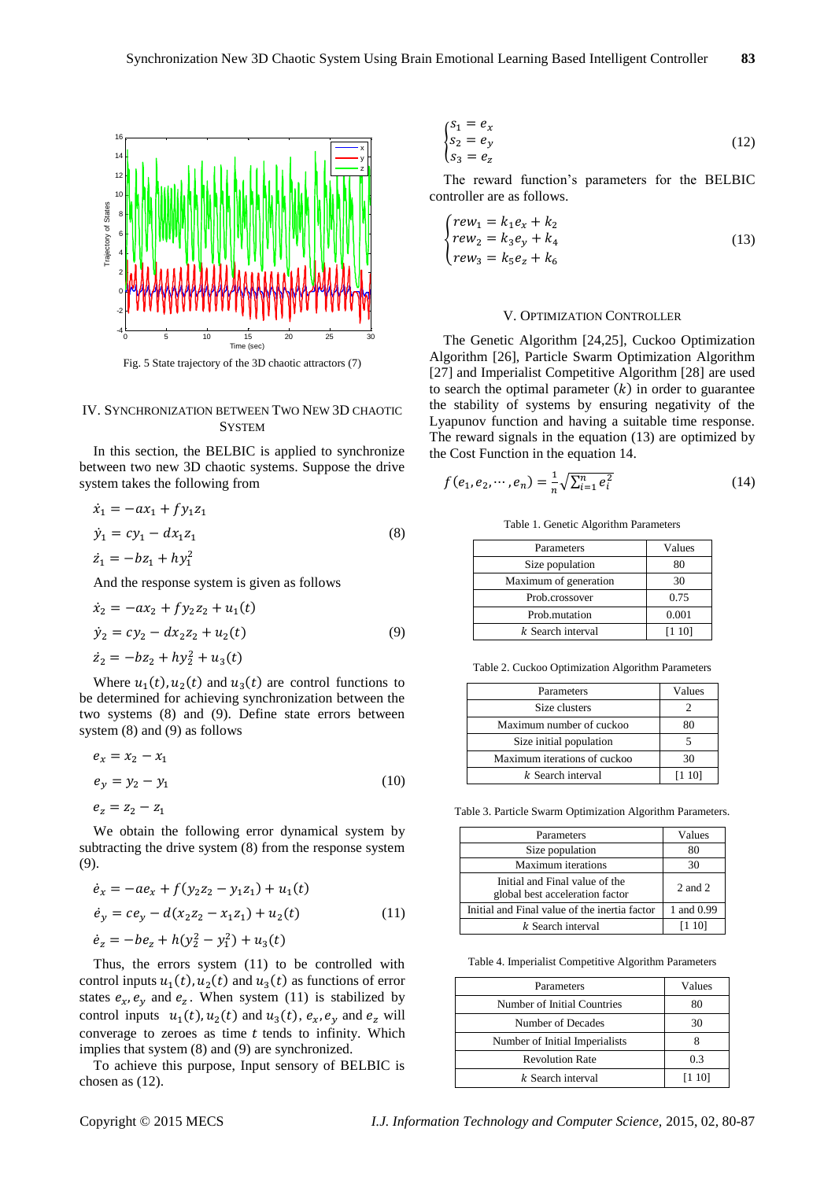

#### IV. SYNCHRONIZATION BETWEEN TWO NEW 3D CHAOTIC **SYSTEM**

In this section, the BELBIC is applied to synchronize between two new 3D chaotic systems. Suppose the drive system takes the following from

$$
\dot{x}_1 = -ax_1 + fy_1z_1 \n\dot{y}_1 = cy_1 - dx_1z_1 \n\dot{z}_1 = -bz_1 + hy_1^2
$$
\n(8)

And the response system is given as follows

$$
\dot{x}_2 = -ax_2 + fy_2z_2 + u_1(t)
$$
  
\n
$$
\dot{y}_2 = cy_2 - dx_2z_2 + u_2(t)
$$
  
\n
$$
\dot{z}_2 = -bz_2 + hy_2^2 + u_3(t)
$$
\n(9)

Where  $u_1(t)$ ,  $u_2(t)$  and  $u_3(t)$  are control functions to be determined for achieving synchronization between the two systems (8) and (9). Define state errors between system (8) and (9) as follows

$$
e_x = x_2 - x_1 \n e_y = y_2 - y_1
$$
\n(10)

 $e_z = z_2 - z_1$ 

We obtain the following error dynamical system by subtracting the drive system (8) from the response system (9).

$$
\dot{e}_x = -ae_x + f(y_2z_2 - y_1z_1) + u_1(t)
$$
  
\n
$$
\dot{e}_y = ce_y - d(x_2z_2 - x_1z_1) + u_2(t)
$$
  
\n
$$
\dot{e}_z = -be_z + h(y_2^2 - y_1^2) + u_3(t)
$$
\n(11)

Thus, the errors system (11) to be controlled with control inputs  $u_1(t)$ ,  $u_2(t)$  and  $u_3(t)$  as functions of error states  $e_x$ ,  $e_y$  and  $e_z$ . When system (11) is stabilized by control inputs  $u_1(t)$ ,  $u_2(t)$  and  $u_3(t)$ ,  $e_x$ ,  $e_y$  and  $e_z$  will converage to zeroes as time  $t$  tends to infinity. Which implies that system (8) and (9) are synchronized.

To achieve this purpose, Input sensory of BELBIC is chosen as (12).

$$
\begin{cases}\nS_1 = e_x \\
S_2 = e_y \\
S_3 = e_z\n\end{cases}
$$
\n(12)

The reward function's parameters for the BELBIC controller are as follows.

$$
\begin{cases}\nrew_1 = k_1 e_x + k_2 \\
rew_2 = k_3 e_y + k_4 \\
rew_3 = k_5 e_z + k_6\n\end{cases}
$$
\n(13)

#### V. OPTIMIZATION CONTROLLER

The Genetic Algorithm [24,25], Cuckoo Optimization Algorithm [26], Particle Swarm Optimization Algorithm [27] and Imperialist Competitive Algorithm [28] are used to search the optimal parameter  $(k)$  in order to guarantee the stability of systems by ensuring negativity of the Lyapunov function and having a suitable time response. The reward signals in the equation (13) are optimized by the Cost Function in the equation 14.

$$
f(e_1, e_2, \cdots, e_n) = \frac{1}{n} \sqrt{\sum_{i=1}^n e_i^2}
$$
 (14)

Table 1. Genetic Algorithm Parameters

| Parameters            | Values |
|-----------------------|--------|
| Size population       | 80     |
| Maximum of generation | 30     |
| Prob.crossover        | 0.75   |
| Prob.mutation         | 0.001  |
| k Search interval     | 1 101  |

Table 2. Cuckoo Optimization Algorithm Parameters

| Parameters                   | Values |  |  |
|------------------------------|--------|--|--|
| Size clusters                |        |  |  |
| Maximum number of cuckoo     |        |  |  |
| Size initial population      |        |  |  |
| Maximum iterations of cuckoo | 30     |  |  |
| k Search interval            | -101   |  |  |

Table 3. Particle Swarm Optimization Algorithm Parameters.

| Parameters                                                        | Values      |  |  |
|-------------------------------------------------------------------|-------------|--|--|
| Size population                                                   | 80          |  |  |
| <b>Maximum</b> iterations                                         | 30          |  |  |
| Initial and Final value of the<br>global best acceleration factor | $2$ and $2$ |  |  |
| Initial and Final value of the inertia factor                     | 1 and 0.99  |  |  |
| k Search interval                                                 |             |  |  |

Table 4. Imperialist Competitive Algorithm Parameters

| Parameters                     | Values |  |  |
|--------------------------------|--------|--|--|
| Number of Initial Countries    | 80     |  |  |
| Number of Decades              | 30     |  |  |
| Number of Initial Imperialists |        |  |  |
| <b>Revolution Rate</b>         | 0.3    |  |  |
| k Search interval              |        |  |  |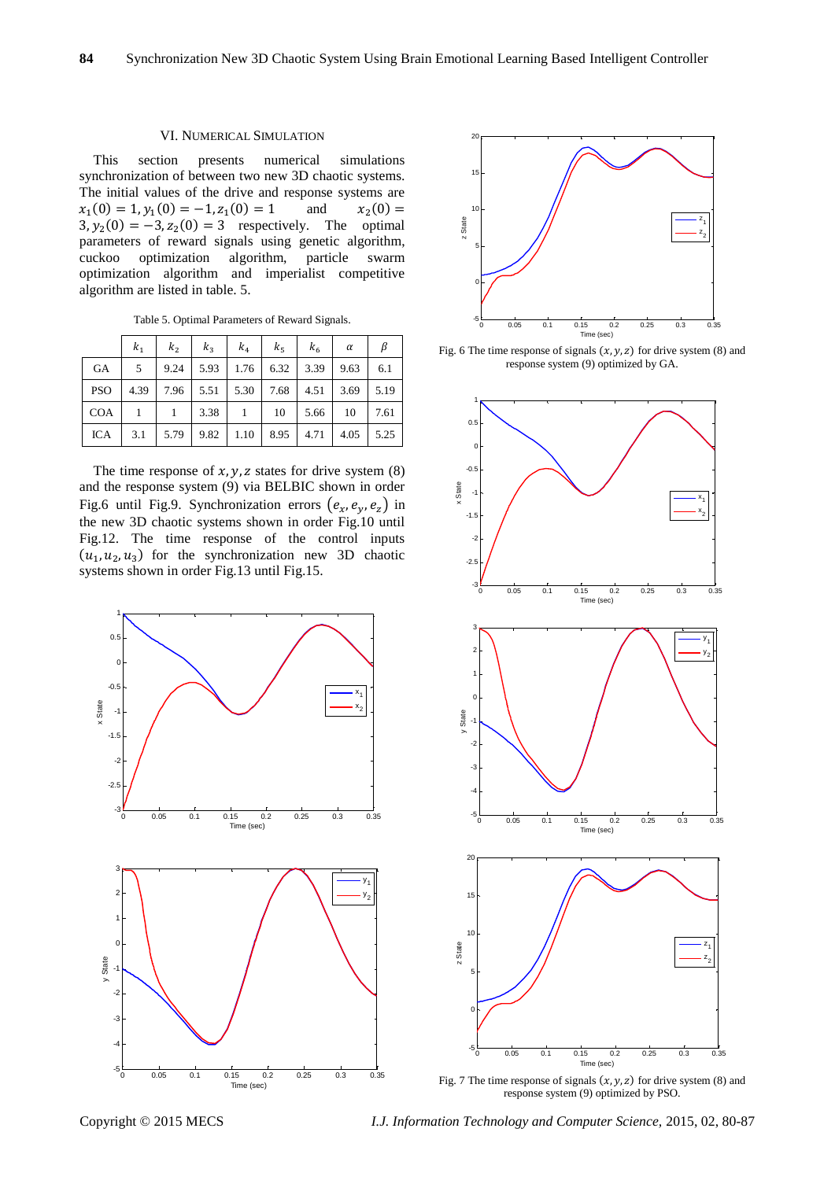## VI. NUMERICAL SIMULATION

This section presents numerical simulations synchronization of between two new 3D chaotic systems. The initial values of the drive and response systems are  $x_1(0) = 1, y_1(0) = -1, z_1(0) = 1$  and  $x_2$  $x_2(0) =$  $3, y_2(0) = -3, z_2(0) = 3$  respectively. The optimal parameters of reward signals using genetic algorithm, cuckoo optimization algorithm, particle swarm optimization algorithm and imperialist competitive algorithm are listed in table. 5.

Table 5. Optimal Parameters of Reward Signals.

|            | $k_{1}$        | $k_{2}$ | $k_{3}$ | $k_4$                           | $k_{5}$ | $k_{\rm g}$ | $\alpha$                                              | β    |
|------------|----------------|---------|---------|---------------------------------|---------|-------------|-------------------------------------------------------|------|
| GA         | $\mathfrak{F}$ |         |         | $9.24$ 5.93 1.76 6.32 3.39 9.63 |         |             |                                                       | 6.1  |
| <b>PSO</b> |                |         |         |                                 |         |             | 4.39   7.96   5.51   5.30   7.68   4.51   3.69   5.19 |      |
| <b>COA</b> |                |         | 3.38    | $\pm$                           | 10      | 5.66        | 10                                                    | 7.61 |
| <b>ICA</b> | 3.1            | 5.79    |         | 9.82 1.10                       |         |             | 8.95 4.71 4.05 5.25                                   |      |

The time response of  $x, y, z$  states for drive system (8) and the response system (9) via BELBIC shown in order Fig.6 until Fig.9. Synchronization errors  $(e_x, e_y, e_z)$  in the new 3D chaotic systems shown in order Fig.10 until Fig.12. The time response of the control inputs  $(u_1, u_2, u_3)$  for the synchronization new 3D chaotic systems shown in order Fig.13 until Fig.15.





Fig. 6 The time response of signals  $(x, y, z)$  for drive system (8) and response system (9) optimized by GA.



Fig. 7 The time response of signals  $(x, y, z)$  for drive system (8) and response system (9) optimized by PSO.

Copyright © 2015 MECS *I.J. Information Technology and Computer Science,* 2015, 02, 80-87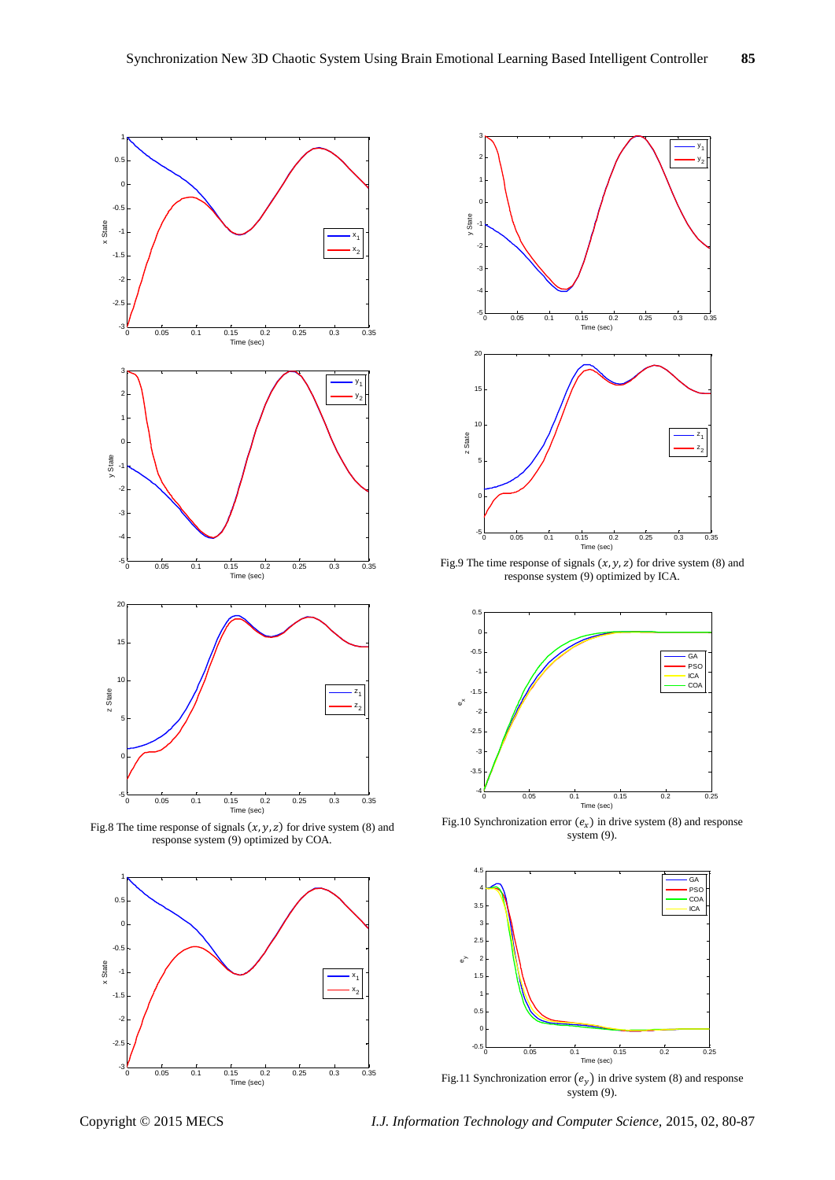

Fig.8 The time response of signals  $(x, y, z)$  for drive system (8) and response system (9) optimized by COA.





Fig.9 The time response of signals  $(x, y, z)$  for drive system (8) and response system (9) optimized by ICA.



Fig.10 Synchronization error  $(e_x)$  in drive system (8) and response system (9).



Fig.11 Synchronization error  $(e_y)$  in drive system (8) and response system (9).

Copyright © 2015 MECS *I.J. Information Technology and Computer Science,* 2015, 02, 80-87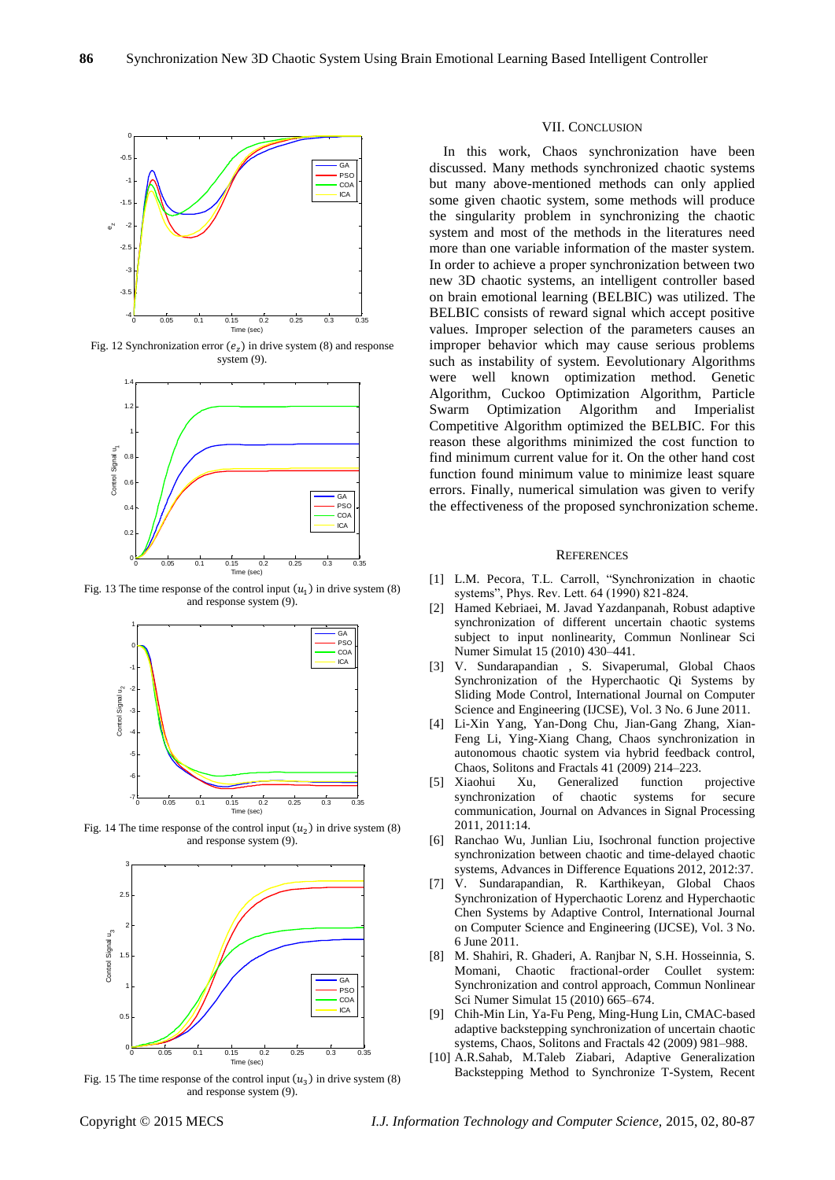

Fig. 12 Synchronization error  $(e_z)$  in drive system (8) and response system (9).



Fig. 13 The time response of the control input  $(u_1)$  in drive system (8) and response system (9).



Fig. 14 The time response of the control input  $(u_2)$  in drive system (8) and response system (9).



Fig. 15 The time response of the control input  $(u_3)$  in drive system (8) and response system (9).

#### VII. CONCLUSION

In this work, Chaos synchronization have been discussed. Many methods synchronized chaotic systems but many above-mentioned methods can only applied some given chaotic system, some methods will produce the singularity problem in synchronizing the chaotic system and most of the methods in the literatures need more than one variable information of the master system. In order to achieve a proper synchronization between two new 3D chaotic systems, an intelligent controller based on brain emotional learning (BELBIC) was utilized. The BELBIC consists of reward signal which accept positive values. Improper selection of the parameters causes an improper behavior which may cause serious problems such as instability of system. Eevolutionary Algorithms were well known optimization method. Genetic Algorithm, Cuckoo Optimization Algorithm, Particle Swarm Optimization Algorithm and Imperialist Competitive Algorithm optimized the BELBIC. For this reason these algorithms minimized the cost function to find minimum current value for it. On the other hand cost function found minimum value to minimize least square errors. Finally, numerical simulation was given to verify the effectiveness of the proposed synchronization scheme.

#### **REFERENCES**

- [1] L.M. Pecora, T.L. Carroll, "Synchronization in chaotic systems", Phys. Rev. Lett. 64 (1990) 821-824.
- [2] Hamed Kebriaei, M. Javad Yazdanpanah, Robust adaptive synchronization of different uncertain chaotic systems subject to input nonlinearity, Commun Nonlinear Sci Numer Simulat 15 (2010) 430–441.
- [3] V. Sundarapandian , S. Sivaperumal, Global Chaos Synchronization of the Hyperchaotic Qi Systems by Sliding Mode Control, International Journal on Computer Science and Engineering (IJCSE), Vol. 3 No. 6 June 2011.
- [4] Li-Xin Yang, Yan-Dong Chu, Jian-Gang Zhang, Xian-Feng Li, Ying-Xiang Chang, Chaos synchronization in autonomous chaotic system via hybrid feedback control, Chaos, Solitons and Fractals 41 (2009) 214–223.
- [5] Xiaohui Xu, Generalized function projective synchronization of chaotic systems for secure communication, Journal on Advances in Signal Processing 2011, 2011:14.
- [6] Ranchao Wu, Junlian Liu, Isochronal function projective synchronization between chaotic and time-delayed chaotic systems, Advances in Difference Equations 2012, 2012:37.
- [7] V. Sundarapandian, R. Karthikeyan, Global Chaos Synchronization of Hyperchaotic Lorenz and Hyperchaotic Chen Systems by Adaptive Control, International Journal on Computer Science and Engineering (IJCSE), Vol. 3 No. 6 June 2011.
- [8] M. Shahiri, R. Ghaderi, A. Ranjbar N, S.H. Hosseinnia, S. Momani, Chaotic fractional-order Coullet system: Synchronization and control approach, Commun Nonlinear Sci Numer Simulat 15 (2010) 665–674.
- [9] Chih-Min Lin, Ya-Fu Peng, Ming-Hung Lin, CMAC-based adaptive backstepping synchronization of uncertain chaotic systems, Chaos, Solitons and Fractals 42 (2009) 981–988.
- [10] A.R.Sahab, M.Taleb Ziabari, Adaptive Generalization Backstepping Method to Synchronize T-System, Recent